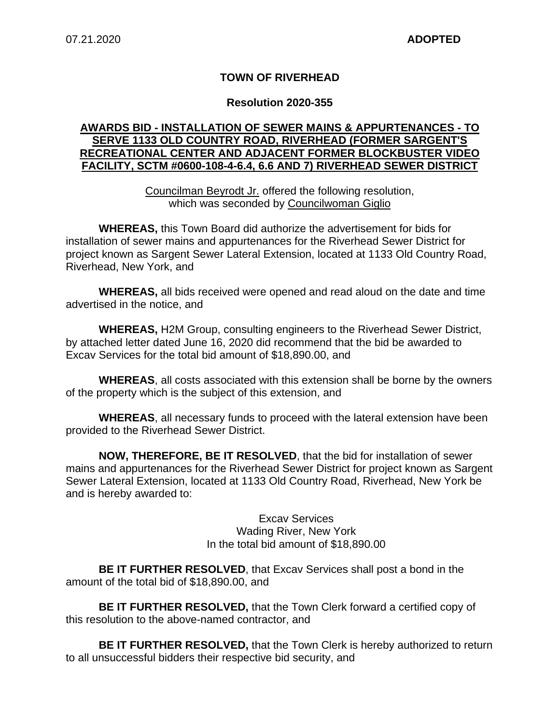### **TOWN OF RIVERHEAD**

#### **Resolution 2020-355**

### **AWARDS BID - INSTALLATION OF SEWER MAINS & APPURTENANCES - TO SERVE 1133 OLD COUNTRY ROAD, RIVERHEAD (FORMER SARGENT'S RECREATIONAL CENTER AND ADJACENT FORMER BLOCKBUSTER VIDEO FACILITY, SCTM #0600-108-4-6.4, 6.6 AND 7) RIVERHEAD SEWER DISTRICT**

Councilman Beyrodt Jr. offered the following resolution, which was seconded by Councilwoman Giglio

**WHEREAS,** this Town Board did authorize the advertisement for bids for installation of sewer mains and appurtenances for the Riverhead Sewer District for project known as Sargent Sewer Lateral Extension, located at 1133 Old Country Road, Riverhead, New York, and

**WHEREAS,** all bids received were opened and read aloud on the date and time advertised in the notice, and

**WHEREAS,** H2M Group, consulting engineers to the Riverhead Sewer District, by attached letter dated June 16, 2020 did recommend that the bid be awarded to Excav Services for the total bid amount of \$18,890.00, and

**WHEREAS**, all costs associated with this extension shall be borne by the owners of the property which is the subject of this extension, and

**WHEREAS**, all necessary funds to proceed with the lateral extension have been provided to the Riverhead Sewer District.

**NOW, THEREFORE, BE IT RESOLVED**, that the bid for installation of sewer mains and appurtenances for the Riverhead Sewer District for project known as Sargent Sewer Lateral Extension, located at 1133 Old Country Road, Riverhead, New York be and is hereby awarded to:

> Excav Services Wading River, New York In the total bid amount of \$18,890.00

**BE IT FURTHER RESOLVED**, that Excav Services shall post a bond in the amount of the total bid of \$18,890.00, and

**BE IT FURTHER RESOLVED,** that the Town Clerk forward a certified copy of this resolution to the above-named contractor, and

**BE IT FURTHER RESOLVED,** that the Town Clerk is hereby authorized to return to all unsuccessful bidders their respective bid security, and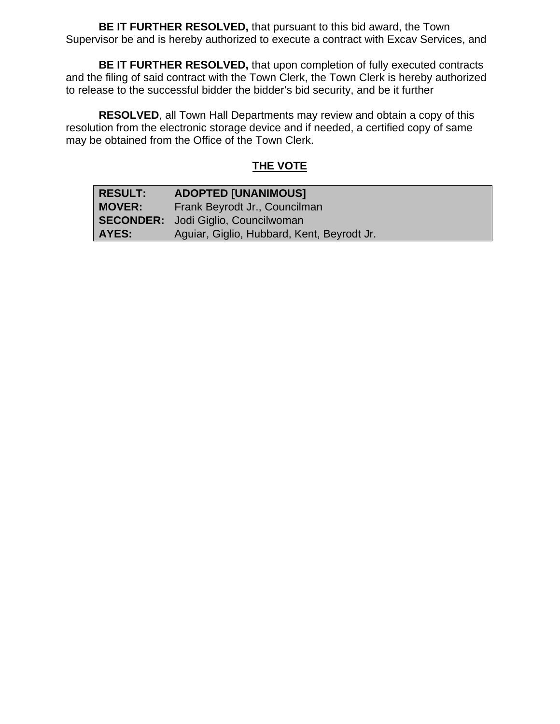**BE IT FURTHER RESOLVED,** that pursuant to this bid award, the Town Supervisor be and is hereby authorized to execute a contract with Excav Services, and

**BE IT FURTHER RESOLVED,** that upon completion of fully executed contracts and the filing of said contract with the Town Clerk, the Town Clerk is hereby authorized to release to the successful bidder the bidder's bid security, and be it further

**RESOLVED**, all Town Hall Departments may review and obtain a copy of this resolution from the electronic storage device and if needed, a certified copy of same may be obtained from the Office of the Town Clerk.

# **THE VOTE**

| <b>RESULT:</b> | <b>ADOPTED [UNANIMOUS]</b>                 |
|----------------|--------------------------------------------|
| <b>MOVER:</b>  | Frank Beyrodt Jr., Councilman              |
|                | <b>SECONDER:</b> Jodi Giglio, Councilwoman |
| AYES:          | Aguiar, Giglio, Hubbard, Kent, Beyrodt Jr. |